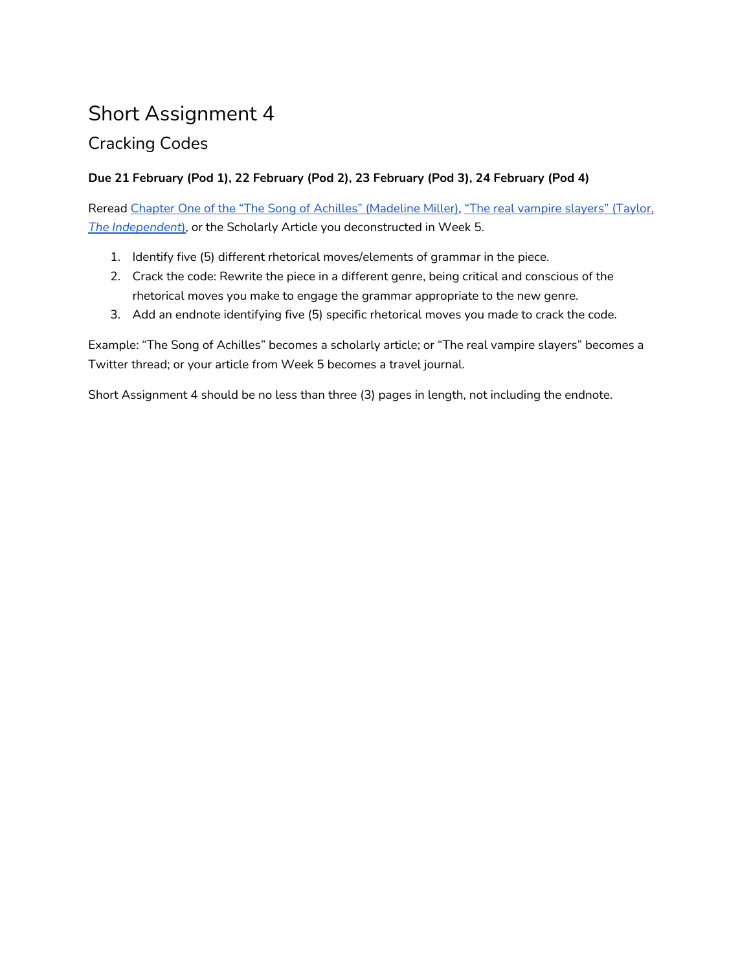# Short Assignment 4

# Cracking Codes

## **Due 21 February (Pod 1), 22 February (Pod 2), 23 February (Pod 3), 24 February (Pod 4)**

Reread Chapter One of the "The Song of Achilles" [\(Madeline](https://www.readinggroupguides.com/reviews/the-song-of-achilles/excerpt) Miller), "The real [vampire](https://www.independent.co.uk/news/world/europe/the-real-vampire-slayers-397874.html) slayers" (Taylor, *The [Independent](https://www.independent.co.uk/news/world/europe/the-real-vampire-slayers-397874.html)*[\),](https://www.independent.co.uk/news/world/europe/the-real-vampire-slayers-397874.html) or the Scholarly Article you deconstructed in Week 5.

- 1. Identify five (5) different rhetorical moves/elements of grammar in the piece.
- 2. Crack the code: Rewrite the piece in a different genre, being critical and conscious of the rhetorical moves you make to engage the grammar appropriate to the new genre.
- 3. Add an endnote identifying five (5) specific rhetorical moves you made to crack the code.

Example: "The Song of Achilles" becomes a scholarly article; or "The real vampire slayers" becomes a Twitter thread; or your article from Week 5 becomes a travel journal.

Short Assignment 4 should be no less than three (3) pages in length, not including the endnote.